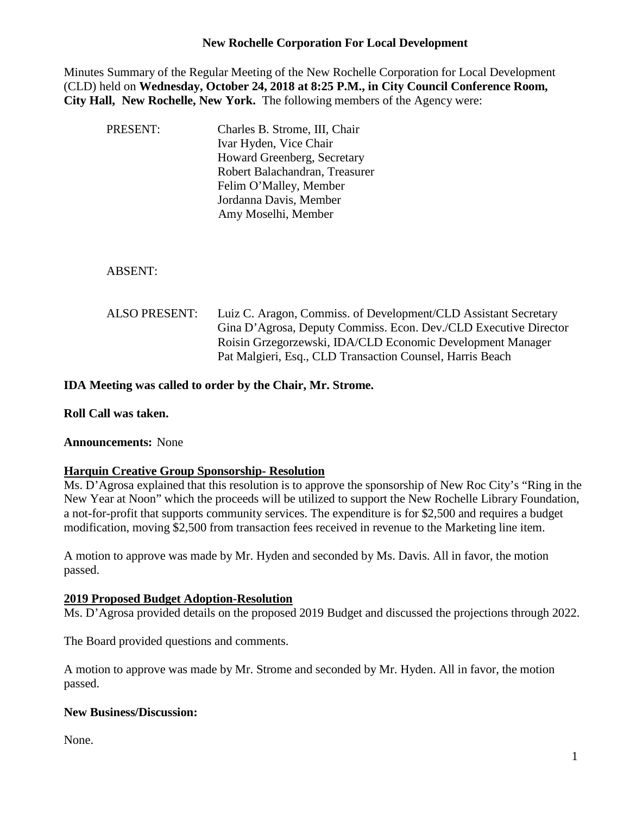## **New Rochelle Corporation For Local Development**

Minutes Summary of the Regular Meeting of the New Rochelle Corporation for Local Development (CLD) held on **Wednesday, October 24, 2018 at 8:25 P.M., in City Council Conference Room, City Hall, New Rochelle, New York.** The following members of the Agency were:

| <b>PRESENT:</b>      | Charles B. Strome, III, Chair<br>Ivar Hyden, Vice Chair<br><b>Howard Greenberg, Secretary</b><br>Robert Balachandran, Treasurer<br>Felim O'Malley, Member<br>Jordanna Davis, Member<br>Amy Moselhi, Member                                                     |
|----------------------|----------------------------------------------------------------------------------------------------------------------------------------------------------------------------------------------------------------------------------------------------------------|
| <b>ABSENT:</b>       |                                                                                                                                                                                                                                                                |
| <b>ALSO PRESENT:</b> | Luiz C. Aragon, Commiss. of Development/CLD Assistant Secretary<br>Gina D'Agrosa, Deputy Commiss. Econ. Dev./CLD Executive Director<br>Roisin Grzegorzewski, IDA/CLD Economic Development Manager<br>Pat Malgieri, Esq., CLD Transaction Counsel, Harris Beach |

**IDA Meeting was called to order by the Chair, Mr. Strome.**

**Roll Call was taken.**

## **Announcements:** None

## **Harquin Creative Group Sponsorship- Resolution**

Ms. D'Agrosa explained that this resolution is to approve the sponsorship of New Roc City's "Ring in the New Year at Noon" which the proceeds will be utilized to support the New Rochelle Library Foundation, a not-for-profit that supports community services. The expenditure is for \$2,500 and requires a budget modification, moving \$2,500 from transaction fees received in revenue to the Marketing line item.

A motion to approve was made by Mr. Hyden and seconded by Ms. Davis. All in favor, the motion passed.

#### **2019 Proposed Budget Adoption-Resolution**

Ms. D'Agrosa provided details on the proposed 2019 Budget and discussed the projections through 2022.

The Board provided questions and comments.

A motion to approve was made by Mr. Strome and seconded by Mr. Hyden. All in favor, the motion passed.

## **New Business/Discussion:**

None.